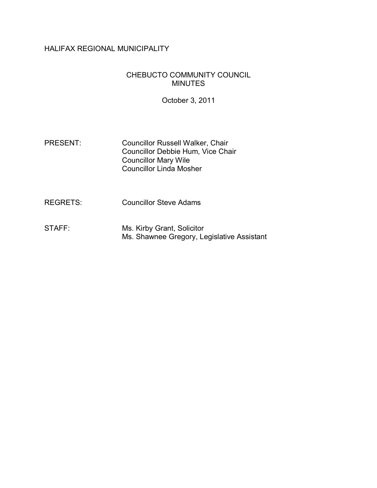## HALIFAX REGIONAL MUNICIPALITY

### CHEBUCTO COMMUNITY COUNCIL MINUTES

October 3, 2011

- PRESENT: Councillor Russell Walker, Chair Councillor Debbie Hum, Vice Chair Councillor Mary Wile Councillor Linda Mosher
- REGRETS: Councillor Steve Adams
- STAFF: Ms. Kirby Grant, Solicitor Ms. Shawnee Gregory, Legislative Assistant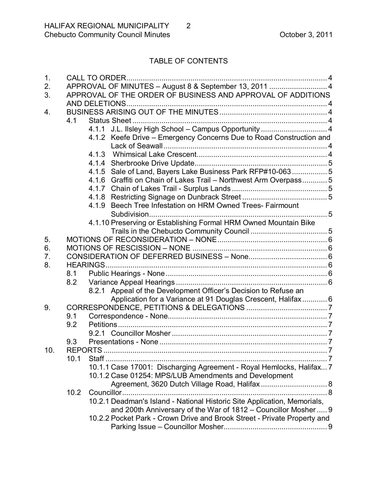# TABLE OF CONTENTS

| 1.  |                                                               | <b>CALL TO ORDER.</b>                                                    |  |  |
|-----|---------------------------------------------------------------|--------------------------------------------------------------------------|--|--|
| 2.  |                                                               | APPROVAL OF MINUTES - August 8 & September 13, 2011  4                   |  |  |
| 3.  | APPROVAL OF THE ORDER OF BUSINESS AND APPROVAL OF ADDITIONS   |                                                                          |  |  |
|     |                                                               |                                                                          |  |  |
| 4.  |                                                               |                                                                          |  |  |
|     | 4.1                                                           |                                                                          |  |  |
|     |                                                               | 4.1.1 J.L. Ilsley High School - Campus Opportunity  4                    |  |  |
|     |                                                               | 4.1.2 Keefe Drive – Emergency Concerns Due to Road Construction and      |  |  |
|     |                                                               |                                                                          |  |  |
|     |                                                               |                                                                          |  |  |
|     |                                                               |                                                                          |  |  |
|     |                                                               | 4.1.5 Sale of Land, Bayers Lake Business Park RFP#10-063 5               |  |  |
|     |                                                               | 4.1.6 Graffiti on Chain of Lakes Trail - Northwest Arm Overpass 5        |  |  |
|     |                                                               |                                                                          |  |  |
|     |                                                               |                                                                          |  |  |
|     |                                                               | 4.1.9 Beech Tree Infestation on HRM Owned Trees- Fairmount               |  |  |
|     |                                                               | 4.1.10 Preserving or Establishing Formal HRM Owned Mountain Bike         |  |  |
|     |                                                               |                                                                          |  |  |
| 5.  |                                                               |                                                                          |  |  |
| 6.  |                                                               |                                                                          |  |  |
| 7.  |                                                               |                                                                          |  |  |
| 8.  |                                                               |                                                                          |  |  |
|     | 8.1                                                           |                                                                          |  |  |
|     | 8.2                                                           |                                                                          |  |  |
|     |                                                               | 8.2.1 Appeal of the Development Officer's Decision to Refuse an          |  |  |
|     |                                                               |                                                                          |  |  |
| 9.  | Application for a Variance at 91 Douglas Crescent, Halifax  6 |                                                                          |  |  |
|     | 9.1                                                           |                                                                          |  |  |
|     | 9.2                                                           |                                                                          |  |  |
|     |                                                               |                                                                          |  |  |
|     | 9.3                                                           |                                                                          |  |  |
|     |                                                               | $\overline{7}$                                                           |  |  |
| 10. | 10.1                                                          |                                                                          |  |  |
|     |                                                               | 10.1.1 Case 17001: Discharging Agreement - Royal Hemlocks, Halifax 7     |  |  |
|     |                                                               |                                                                          |  |  |
|     |                                                               | 10.1.2 Case 01254: MPS/LUB Amendments and Development                    |  |  |
|     |                                                               | Agreement, 3620 Dutch Village Road, Halifax 8                            |  |  |
|     | 10.2                                                          |                                                                          |  |  |
|     |                                                               | 10.2.1 Deadman's Island - National Historic Site Application, Memorials, |  |  |
|     |                                                               | and 200th Anniversary of the War of 1812 - Councillor Mosher  9          |  |  |
|     |                                                               | 10.2.2 Pocket Park - Crown Drive and Brook Street - Private Property and |  |  |
|     |                                                               |                                                                          |  |  |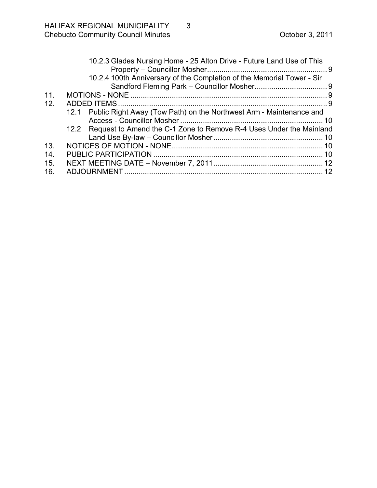| 10.2.4 100th Anniversary of the Completion of the Memorial Tower - Sir   |  |
|--------------------------------------------------------------------------|--|
|                                                                          |  |
|                                                                          |  |
|                                                                          |  |
| 11.                                                                      |  |
| 12.                                                                      |  |
| 12.1 Public Right Away (Tow Path) on the Northwest Arm - Maintenance and |  |
|                                                                          |  |
| 12.2 Request to Amend the C-1 Zone to Remove R-4 Uses Under the Mainland |  |
|                                                                          |  |
| 13.                                                                      |  |
| 14.                                                                      |  |
| 15.                                                                      |  |
| 16.                                                                      |  |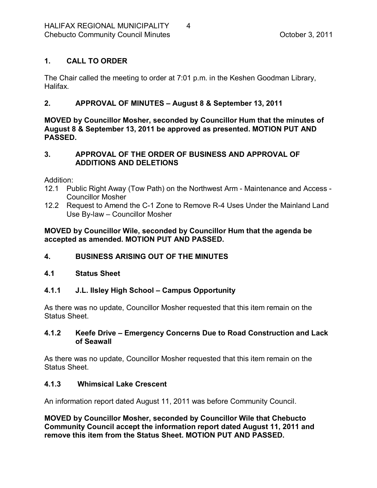# <span id="page-3-0"></span>**1. CALL TO ORDER**

The Chair called the meeting to order at 7:01 p.m. in the Keshen Goodman Library, Halifax.

# <span id="page-3-1"></span>**2. APPROVAL OF MINUTES – August 8 & September 13, 2011**

**MOVED by Councillor Mosher, seconded by Councillor Hum that the minutes of August 8 & September 13, 2011 be approved as presented. MOTION PUT AND PASSED.** 

### <span id="page-3-2"></span>**3. APPROVAL OF THE ORDER OF BUSINESS AND APPROVAL OF ADDITIONS AND DELETIONS**

Addition:

- 12.1 Public Right Away (Tow Path) on the Northwest Arm Maintenance and Access -Councillor Mosher
- 12.2 Request to Amend the C-1 Zone to Remove R-4 Uses Under the Mainland Land Use By-law – Councillor Mosher

## **MOVED by Councillor Wile, seconded by Councillor Hum that the agenda be accepted as amended. MOTION PUT AND PASSED.**

## <span id="page-3-3"></span>**4. BUSINESS ARISING OUT OF THE MINUTES**

## <span id="page-3-4"></span>**4.1 Status Sheet**

## <span id="page-3-5"></span>**4.1.1 J.L. Ilsley High School – Campus Opportunity**

As there was no update, Councillor Mosher requested that this item remain on the Status Sheet.

## <span id="page-3-6"></span>**4.1.2 Keefe Drive – Emergency Concerns Due to Road Construction and Lack of Seawall**

As there was no update, Councillor Mosher requested that this item remain on the Status Sheet.

## <span id="page-3-7"></span>**4.1.3 Whimsical Lake Crescent**

An information report dated August 11, 2011 was before Community Council.

**MOVED by Councillor Mosher, seconded by Councillor Wile that Chebucto Community Council accept the information report dated August 11, 2011 and remove this item from the Status Sheet. MOTION PUT AND PASSED.**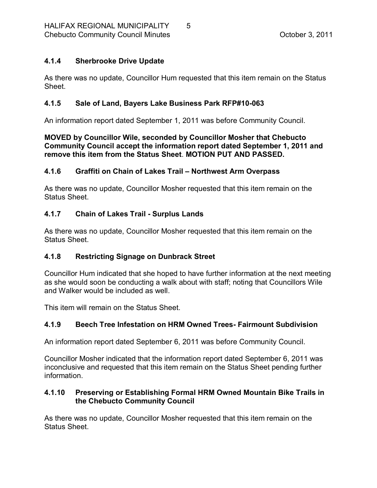## <span id="page-4-0"></span>**4.1.4 Sherbrooke Drive Update**

As there was no update, Councillor Hum requested that this item remain on the Status Sheet.

### <span id="page-4-1"></span>**4.1.5** Sale of Land, Bayers Lake Business Park RFP#10-063

An information report dated September 1, 2011 was before Community Council.

### **MOVED by Councillor Wile, seconded by Councillor Mosher that Chebucto Community Council accept the information report dated September 1, 2011 and remove this item from the Status Sheet**. **MOTION PUT AND PASSED.**

### <span id="page-4-2"></span>**4.1.6 Graffiti on Chain of Lakes Trail – Northwest Arm Overpass**

As there was no update, Councillor Mosher requested that this item remain on the Status Sheet.

### <span id="page-4-3"></span>**4.1.7 Chain of Lakes Trail Surplus Lands**

As there was no update, Councillor Mosher requested that this item remain on the Status Sheet.

## <span id="page-4-4"></span>**4.1.8 Restricting Signage on Dunbrack Street**

Councillor Hum indicated that she hoped to have further information at the next meeting as she would soon be conducting a walk about with staff; noting that Councillors Wile and Walker would be included as well.

This item will remain on the Status Sheet.

## <span id="page-4-5"></span>**4.1.9 Beech Tree Infestation on HRM Owned Trees Fairmount Subdivision**

An information report dated September 6, 2011 was before Community Council.

Councillor Mosher indicated that the information report dated September 6, 2011 was inconclusive and requested that this item remain on the Status Sheet pending further information.

### <span id="page-4-6"></span>**4.1.10 Preserving or Establishing Formal HRM Owned Mountain Bike Trails in the Chebucto Community Council**

As there was no update, Councillor Mosher requested that this item remain on the Status Sheet.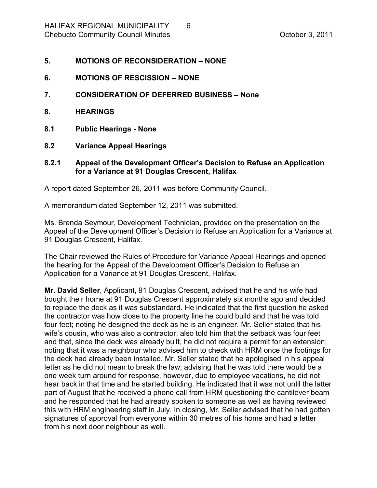- <span id="page-5-0"></span>**5. MOTIONS OF RECONSIDERATION – NONE**
- <span id="page-5-1"></span>**6. MOTIONS OF RESCISSION – NONE**
- <span id="page-5-2"></span>**7. CONSIDERATION OF DEFERRED BUSINESS – None**
- <span id="page-5-3"></span>**8. HEARINGS**
- <span id="page-5-4"></span>**8.1 Public Hearings None**
- <span id="page-5-5"></span>**8.2 Variance Appeal Hearings**
- <span id="page-5-6"></span>**8.2.1 Appeal of the Development Officer's Decision to Refuse an Application for a Variance at 91 Douglas Crescent, Halifax**

A report dated September 26, 2011 was before Community Council.

A memorandum dated September 12, 2011 was submitted.

Ms. Brenda Seymour, Development Technician, provided on the presentation on the Appeal of the Development Officer's Decision to Refuse an Application for a Variance at 91 Douglas Crescent, Halifax.

The Chair reviewed the Rules of Procedure for Variance Appeal Hearings and opened the hearing for the Appeal of the Development Officer's Decision to Refuse an Application for a Variance at 91 Douglas Crescent, Halifax.

**Mr. David Seller**, Applicant, 91 Douglas Crescent, advised that he and his wife had bought their home at 91 Douglas Crescent approximately six months ago and decided to replace the deck as it was substandard. He indicated that the first question he asked the contractor was how close to the property line he could build and that he was told four feet; noting he designed the deck as he is an engineer. Mr. Seller stated that his wife's cousin, who was also a contractor, also told him that the setback was four feet and that, since the deck was already built, he did not require a permit for an extension; noting that it was a neighbour who advised him to check with HRM once the footings for the deck had already been installed. Mr. Seller stated that he apologised in his appeal letter as he did not mean to break the law; advising that he was told there would be a one week turn around for response, however, due to employee vacations, he did not hear back in that time and he started building. He indicated that it was not until the latter part of August that he received a phone call from HRM questioning the cantilever beam and he responded that he had already spoken to someone as well as having reviewed this with HRM engineering staff in July. In closing, Mr. Seller advised that he had gotten signatures of approval from everyone within 30 metres of his home and had a letter from his next door neighbour as well.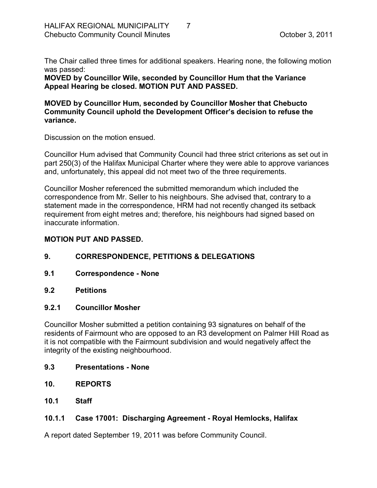The Chair called three times for additional speakers. Hearing none, the following motion was passed:

**MOVED by Councillor Wile, seconded by Councillor Hum that the Variance Appeal Hearing be closed. MOTION PUT AND PASSED.** 

#### **MOVED by Councillor Hum, seconded by Councillor Mosher that Chebucto Community Council uphold the Development Officer's decision to refuse the variance.**

Discussion on the motion ensued.

Councillor Hum advised that Community Council had three strict criterions as set out in part 250(3) of the Halifax Municipal Charter where they were able to approve variances and, unfortunately, this appeal did not meet two of the three requirements.

Councillor Mosher referenced the submitted memorandum which included the correspondence from Mr. Seller to his neighbours. She advised that, contrary to a statement made in the correspondence, HRM had not recently changed its setback requirement from eight metres and; therefore, his neighbours had signed based on inaccurate information.

#### **MOTION PUT AND PASSED.**

- <span id="page-6-0"></span>**9. CORRESPONDENCE, PETITIONS & DELEGATIONS**
- <span id="page-6-1"></span>**9.1 Correspondence None**
- <span id="page-6-2"></span>**9.2 Petitions**

#### <span id="page-6-3"></span>**9.2.1 Councillor Mosher**

Councillor Mosher submitted a petition containing 93 signatures on behalf of the residents of Fairmount who are opposed to an R3 development on Palmer Hill Road as it is not compatible with the Fairmount subdivision and would negatively affect the integrity of the existing neighbourhood.

- <span id="page-6-4"></span>**9.3 Presentations None**
- <span id="page-6-5"></span>**10. REPORTS**
- <span id="page-6-6"></span>**10.1 Staff**

#### <span id="page-6-7"></span>**10.1.1 Case 17001: Discharging Agreement Royal Hemlocks, Halifax**

A report dated September 19, 2011 was before Community Council.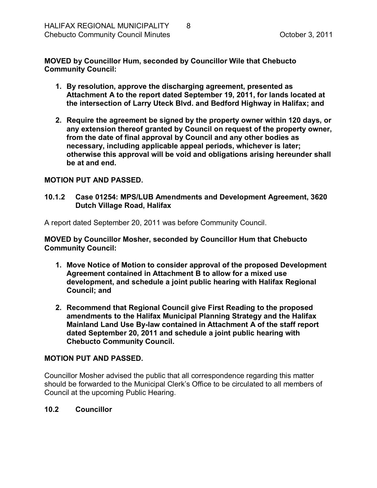**MOVED by Councillor Hum, seconded by Councillor Wile that Chebucto Community Council:**

- **1. By resolution, approve the discharging agreement, presented as Attachment A to the report dated September 19, 2011, for lands located at the intersection of Larry Uteck Blvd. and Bedford Highway in Halifax; and**
- **2. Require the agreement be signed by the property owner within 120 days, or any extension thereof granted by Council on request of the property owner, from the date of final approval by Council and any other bodies as necessary, including applicable appeal periods, whichever is later; otherwise this approval will be void and obligations arising hereunder shall be at and end.**

#### **MOTION PUT AND PASSED.**

<span id="page-7-0"></span>**10.1.2 Case 01254: MPS/LUB Amendments and Development Agreement, 3620 Dutch Village Road, Halifax**

A report dated September 20, 2011 was before Community Council.

**MOVED by Councillor Mosher, seconded by Councillor Hum that Chebucto Community Council:**

- **1. Move Notice of Motion to consider approval of the proposed Development Agreement contained in Attachment B to allow for a mixed use development, and schedule a joint public hearing with Halifax Regional Council; and**
- **2. Recommend that Regional Council give First Reading to the proposed amendments to the Halifax Municipal Planning Strategy and the Halifax Mainland Land Use Bylaw contained in Attachment A of the staff report dated September 20, 2011 and schedule a joint public hearing with Chebucto Community Council.**

#### **MOTION PUT AND PASSED.**

Councillor Mosher advised the public that all correspondence regarding this matter should be forwarded to the Municipal Clerk's Office to be circulated to all members of Council at the upcoming Public Hearing.

#### <span id="page-7-1"></span>**10.2 Councillor**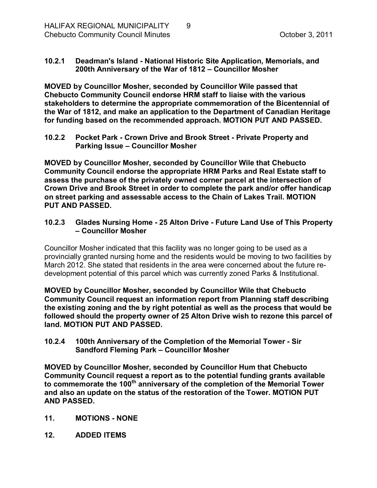### <span id="page-8-0"></span>**10.2.1 Deadman's Island National Historic Site Application, Memorials, and 200th Anniversary of the War of 1812 – Councillor Mosher**

**MOVED by Councillor Mosher, seconded by Councillor Wile passed that Chebucto Community Council endorse HRM staff to liaise with the various stakeholders to determine the appropriate commemoration of the Bicentennial of the War of 1812, and make an application to the Department of Canadian Heritage for funding based on the recommended approach. MOTION PUT AND PASSED.** 

<span id="page-8-1"></span>**10.2.2 Pocket Park Crown Drive and Brook Street Private Property and Parking Issue – Councillor Mosher**

**MOVED by Councillor Mosher, seconded by Councillor Wile that Chebucto Community Council endorse the appropriate HRM Parks and Real Estate staff to assess the purchase of the privately owned corner parcel at the intersection of Crown Drive and Brook Street in order to complete the park and/or offer handicap on street parking and assessable access to the Chain of Lakes Trail. MOTION PUT AND PASSED.** 

### <span id="page-8-2"></span>**10.2.3 Glades Nursing Home 25 Alton Drive Future Land Use of This Property – Councillor Mosher**

Councillor Mosher indicated that this facility was no longer going to be used as a provincially granted nursing home and the residents would be moving to two facilities by March 2012. She stated that residents in the area were concerned about the future redevelopment potential of this parcel which was currently zoned Parks & Institutional.

**MOVED by Councillor Mosher, seconded by Councillor Wile that Chebucto Community Council request an information report from Planning staff describing the existing zoning and the by right potential as well as the process that would be followed should the property owner of 25 Alton Drive wish to rezone this parcel of land. MOTION PUT AND PASSED.** 

<span id="page-8-3"></span>**10.2.4 100th Anniversary of the Completion of the Memorial Tower Sir Sandford Fleming Park – Councillor Mosher** 

**MOVED by Councillor Mosher, seconded by Councillor Hum that Chebucto Community Council request a report as to the potential funding grants available to commemorate the 100 th anniversary of the completion of the Memorial Tower and also an update on the status of the restoration of the Tower. MOTION PUT AND PASSED.** 

- <span id="page-8-4"></span>**11. MOTIONS NONE**
- <span id="page-8-5"></span>**12. ADDED ITEMS**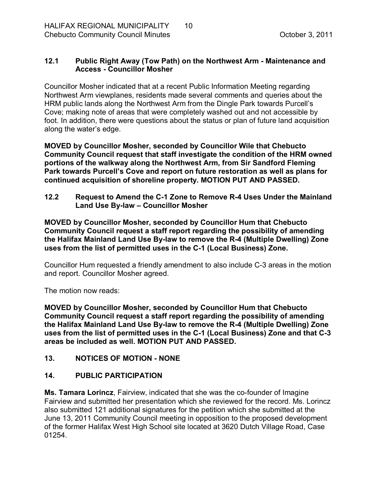### <span id="page-9-0"></span>**12.1 Public Right Away (Tow Path) on the Northwest Arm Maintenance and Access Councillor Mosher**

Councillor Mosher indicated that at a recent Public Information Meeting regarding Northwest Arm viewplanes, residents made several comments and queries about the HRM public lands along the Northwest Arm from the Dingle Park towards Purcell's Cove; making note of areas that were completely washed out and not accessible by foot. In addition, there were questions about the status or plan of future land acquisition along the water's edge.

**MOVED by Councillor Mosher, seconded by Councillor Wile that Chebucto Community Council request that staff investigate the condition of the HRM owned portions of the walkway along the Northwest Arm, from Sir Sandford Fleming Park towards Purcell's Cove and report on future restoration as well as plans for continued acquisition of shoreline property. MOTION PUT AND PASSED.** 

<span id="page-9-1"></span>**12.2 Request to Amend the C1 Zone to Remove R4 Uses Under the Mainland Land Use By-law - Councillor Mosher** 

**MOVED by Councillor Mosher, seconded by Councillor Hum that Chebucto Community Council request a staff report regarding the possibility of amending** the Halifax Mainland Land Use By-law to remove the R-4 (Multiple Dwelling) Zone **uses from the list of permitted uses in the C1 (Local Business) Zone.**

Councillor Hum requested a friendly amendment to also include C-3 areas in the motion and report. Councillor Mosher agreed.

The motion now reads:

**MOVED by Councillor Mosher, seconded by Councillor Hum that Chebucto Community Council request a staff report regarding the possibility of amending** the Halifax Mainland Land Use By-law to remove the R-4 (Multiple Dwelling) Zone **uses from the list of permitted uses in the C1 (Local Business) Zone and that C3 areas be included as well. MOTION PUT AND PASSED.** 

# <span id="page-9-2"></span>**13. NOTICES OF MOTION NONE**

## <span id="page-9-3"></span>**14. PUBLIC PARTICIPATION**

**Ms. Tamara Lorincz**, Fairview, indicated that she was the co-founder of Imagine Fairview and submitted her presentation which she reviewed for the record. Ms. Lorincz also submitted 121 additional signatures for the petition which she submitted at the June 13, 2011 Community Council meeting in opposition to the proposed development of the former Halifax West High School site located at 3620 Dutch Village Road, Case 01254.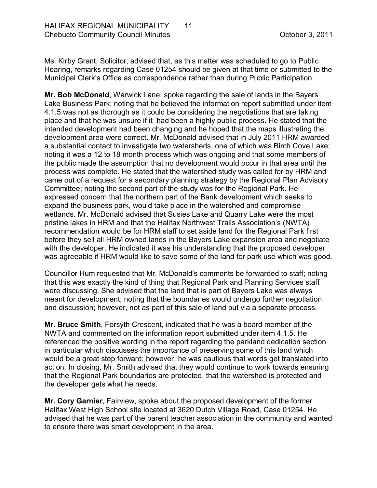Ms. Kirby Grant, Solicitor, advised that, as this matter was scheduled to go to Public Hearing, remarks regarding Case 01254 should be given at that time or submitted to the Municipal Clerk's Office as correspondence rather than during Public Participation.

**Mr. Bob McDonald**, Warwick Lane, spoke regarding the sale of lands in the Bayers Lake Business Park; noting that he believed the information report submitted under item 4.1.5 was not as thorough as it could be considering the negotiations that are taking place and that he was unsure if it had been a highly public process. He stated that the intended development had been changing and he hoped that the maps illustrating the development area were correct. Mr. McDonald advised that in July 2011 HRM awarded a substantial contact to investigate two watersheds, one of which was Birch Cove Lake; noting it was a 12 to 18 month process which was ongoing and that some members of the public made the assumption that no development would occur in that area until the process was complete. He stated that the watershed study was called for by HRM and came out of a request for a secondary planning strategy by the Regional Plan Advisory Committee; noting the second part of the study was for the Regional Park. He expressed concern that the northern part of the Bank development which seeks to expand the business park, would take place in the watershed and compromise wetlands. Mr. McDonald advised that Susies Lake and Quarry Lake were the most pristine lakes in HRM and that the Halifax Northwest Trails Association's (NWTA) recommendation would be for HRM staff to set aside land for the Regional Park first before they sell all HRM owned lands in the Bayers Lake expansion area and negotiate with the developer. He indicated it was his understanding that the proposed developer was agreeable if HRM would like to save some of the land for park use which was good.

Councillor Hum requested that Mr. McDonald's comments be forwarded to staff; noting that this was exactly the kind of thing that Regional Park and Planning Services staff were discussing. She advised that the land that is part of Bayers Lake was always meant for development; noting that the boundaries would undergo further negotiation and discussion; however, not as part of this sale of land but via a separate process.

**Mr. Bruce Smith**, Forsyth Crescent, indicated that he was a board member of the NWTA and commented on the information report submitted under item 4.1.5. He referenced the positive wording in the report regarding the parkland dedication section in particular which discusses the importance of preserving some of this land which would be a great step forward; however, he was cautious that words get translated into action. In closing, Mr. Smith advised that they would continue to work towards ensuring that the Regional Park boundaries are protected, that the watershed is protected and the developer gets what he needs.

**Mr. Cory Garnier**, Fairview, spoke about the proposed development of the former Halifax West High School site located at 3620 Dutch Village Road, Case 01254. He advised that he was part of the parent teacher association in the community and wanted to ensure there was smart development in the area.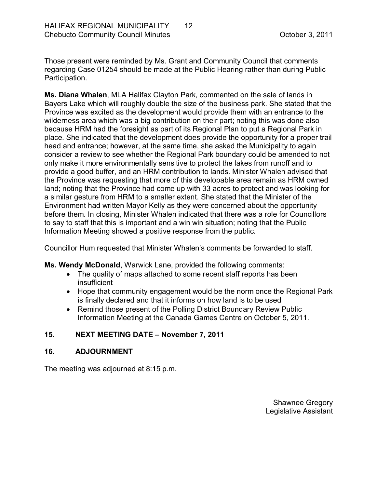Those present were reminded by Ms. Grant and Community Council that comments regarding Case 01254 should be made at the Public Hearing rather than during Public Participation.

**Ms. Diana Whalen**, MLA Halifax Clayton Park, commented on the sale of lands in Bayers Lake which will roughly double the size of the business park. She stated that the Province was excited as the development would provide them with an entrance to the wilderness area which was a big contribution on their part; noting this was done also because HRM had the foresight as part of its Regional Plan to put a Regional Park in place. She indicated that the development does provide the opportunity for a proper trail head and entrance; however, at the same time, she asked the Municipality to again consider a review to see whether the Regional Park boundary could be amended to not only make it more environmentally sensitive to protect the lakes from runoff and to provide a good buffer, and an HRM contribution to lands. Minister Whalen advised that the Province was requesting that more of this developable area remain as HRM owned land; noting that the Province had come up with 33 acres to protect and was looking for a similar gesture from HRM to a smaller extent. She stated that the Minister of the Environment had written Mayor Kelly as they were concerned about the opportunity before them. In closing, Minister Whalen indicated that there was a role for Councillors to say to staff that this is important and a win win situation; noting that the Public Information Meeting showed a positive response from the public.

Councillor Hum requested that Minister Whalen's comments be forwarded to staff.

**Ms. Wendy McDonald**, Warwick Lane, provided the following comments:

- The quality of maps attached to some recent staff reports has been insufficient
- · Hope that community engagement would be the norm once the Regional Park is finally declared and that it informs on how land is to be used
- Remind those present of the Polling District Boundary Review Public Information Meeting at the Canada Games Centre on October 5, 2011.

## <span id="page-11-0"></span>**15. NEXT MEETING DATE – November 7, 2011**

#### <span id="page-11-1"></span>**16. ADJOURNMENT**

The meeting was adjourned at 8:15 p.m.

Shawnee Gregory Legislative Assistant